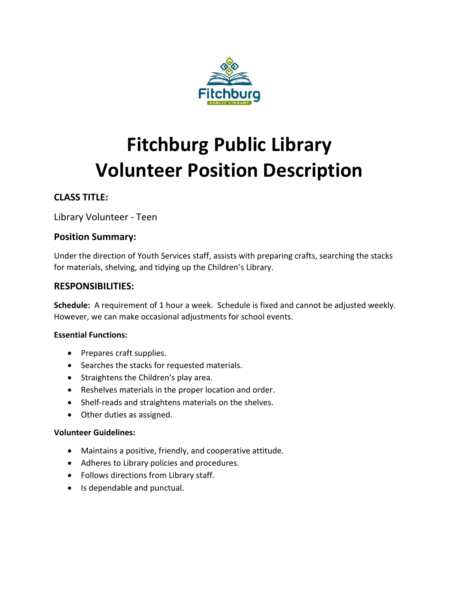

# **Fitchburg Public Library Volunteer Position Description**

# **CLASS TITLE:**

Library Volunteer - Teen

## **Position Summary:**

Under the direction of Youth Services staff, assists with preparing crafts, searching the stacks for materials, shelving, and tidying up the Children's Library.

## **RESPONSIBILITIES:**

**Schedule:** A requirement of 1 hour a week. Schedule is fixed and cannot be adjusted weekly. However, we can make occasional adjustments for school events.

### **Essential Functions:**

- Prepares craft supplies.
- Searches the stacks for requested materials.
- Straightens the Children's play area.
- Reshelves materials in the proper location and order.
- Shelf-reads and straightens materials on the shelves.
- Other duties as assigned.

### **Volunteer Guidelines:**

- Maintains a positive, friendly, and cooperative attitude.
- Adheres to Library policies and procedures.
- Follows directions from Library staff.
- Is dependable and punctual.